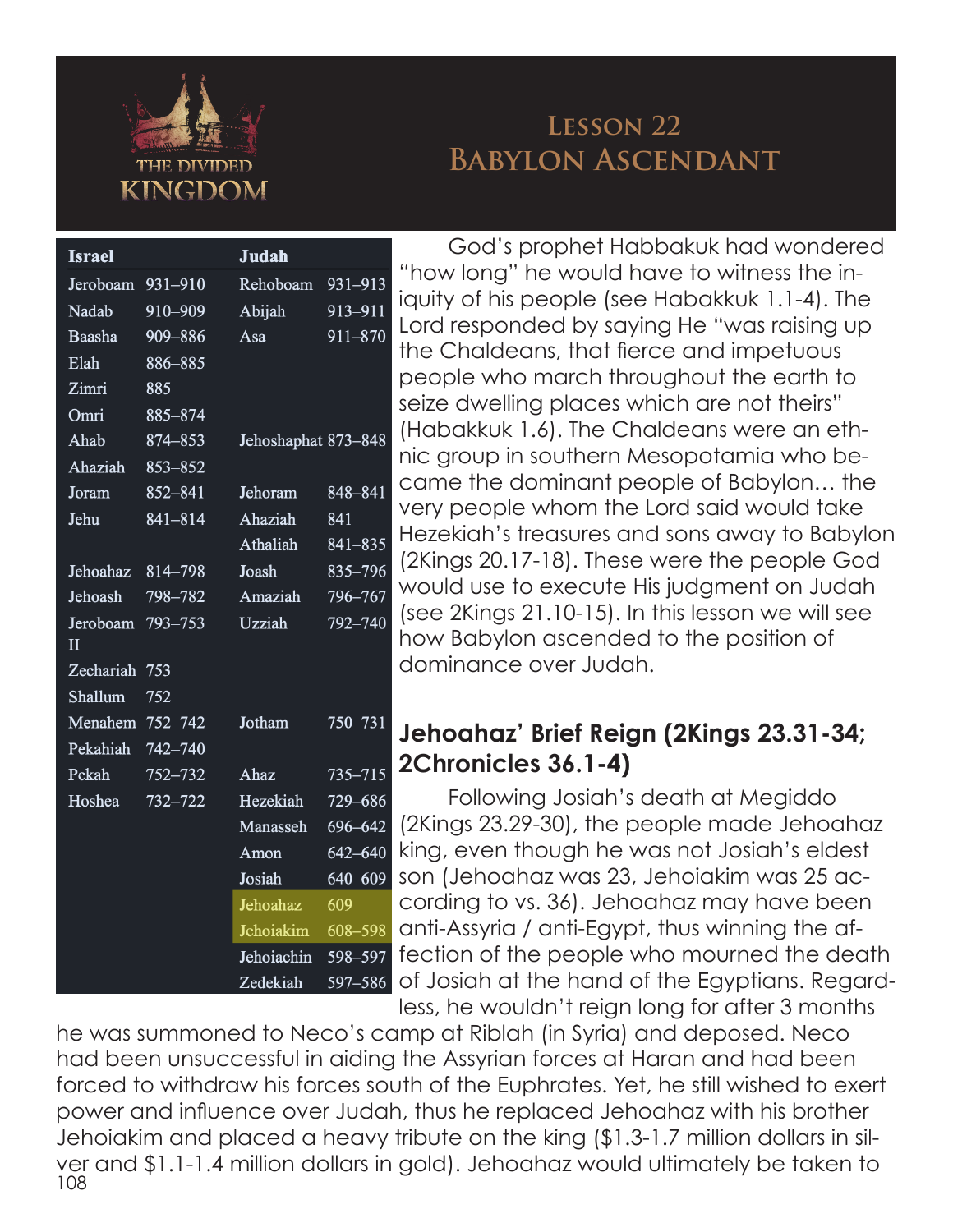

## **Lesson 22 Babylon Ascendant**

| <b>Israel</b>            |             | <b>Judah</b>        |             | Ĺ                        |
|--------------------------|-------------|---------------------|-------------|--------------------------|
| Jeroboam                 | 931-910     | Rehoboam            | 931-913     |                          |
| Nadab                    | 910-909     | Abijah              | 913-911     | i٠                       |
| Baasha                   | 909-886     | Asa                 | $911 - 870$ | L                        |
| Elah                     | 886-885     |                     |             | t                        |
| Zimri                    | 885         |                     |             | K                        |
| Omri                     | 885-874     |                     |             | S                        |
| Ahab                     | 874-853     | Jehoshaphat 873-848 |             | (                        |
| Ahaziah                  | $853 - 852$ |                     |             | r                        |
| Joram                    | 852-841     | Jehoram             | 848-841     | $\overline{\mathsf{C}}$  |
| Jehu                     | 841-814     | Ahaziah             | 841         | ١                        |
|                          |             | Athaliah            | 841-835     | ŀ                        |
| Jehoahaz                 | 814-798     | Joash               | $835 - 796$ | (                        |
| Jehoash                  | 798-782     | Amaziah             | 796-767     | ٧                        |
| Jeroboam<br>$\mathbf{I}$ | 793-753     | Uzziah              | 792-740     | (<br>ŀ                   |
| Zechariah                | 753         |                     |             | $\overline{\mathsf{C}}$  |
| Shallum                  | 752         |                     |             |                          |
| Menahem                  | 752-742     | Jotham              | 750-731     |                          |
| Pekahiah                 | 742-740     |                     |             |                          |
| Pekah                    | 752-732     | Ahaz                | $735 - 715$ | $\overline{\phantom{a}}$ |
| Hoshea                   | 732-722     | Hezekiah            | 729-686     |                          |
|                          |             | Manasseh            | 696-642     | (                        |
|                          |             | Amon                | $642 - 640$ | k                        |
|                          |             | Josiah              | 640-609     | S                        |
|                          |             | Jehoahaz            | 609         | $\overline{\mathsf{C}}$  |
|                          |             | Jehoiakim           | 608-598     | $\overline{\mathsf{C}}$  |
|                          |             | Jehoiachin          | 598-597     | f                        |
|                          |             | Zedekiah            | 597-586     | $\overline{C}$           |

God's prophet Habbakuk had wondered "how long" he would have to witness the iniquity of his people (see Habakkuk 1.1-4). The Lord responded by saying He "was raising up the Chaldeans, that fierce and impetuous people who march throughout the earth to seize dwelling places which are not theirs" (Habakkuk 1.6). The Chaldeans were an ethnic group in southern Mesopotamia who became the dominant people of Babylon… the very people whom the Lord said would take Hezekiah's treasures and sons away to Babylon (2Kings 20.17-18). These were the people God would use to execute His judgment on Judah (see 2Kings 21.10-15). In this lesson we will see how Babylon ascended to the position of dominance over Judah.

## **Jehoahaz' Brief Reign (2Kings 23.31-34; 2Chronicles 36.1-4)**

Following Josiah's death at Megiddo (2Kings 23.29-30), the people made Jehoahaz king, even though he was not Josiah's eldest son (Jehoahaz was 23, Jehoiakim was 25 according to vs. 36). Jehoahaz may have been anti-Assyria / anti-Egypt, thus winning the affection of the people who mourned the death of Josiah at the hand of the Egyptians. Regardless, he wouldn't reign long for after 3 months

108 he was summoned to Neco's camp at Riblah (in Syria) and deposed. Neco had been unsuccessful in aiding the Assyrian forces at Haran and had been forced to withdraw his forces south of the Euphrates. Yet, he still wished to exert power and influence over Judah, thus he replaced Jehoahaz with his brother Jehoiakim and placed a heavy tribute on the king (\$1.3-1.7 million dollars in silver and \$1.1-1.4 million dollars in gold). Jehoahaz would ultimately be taken to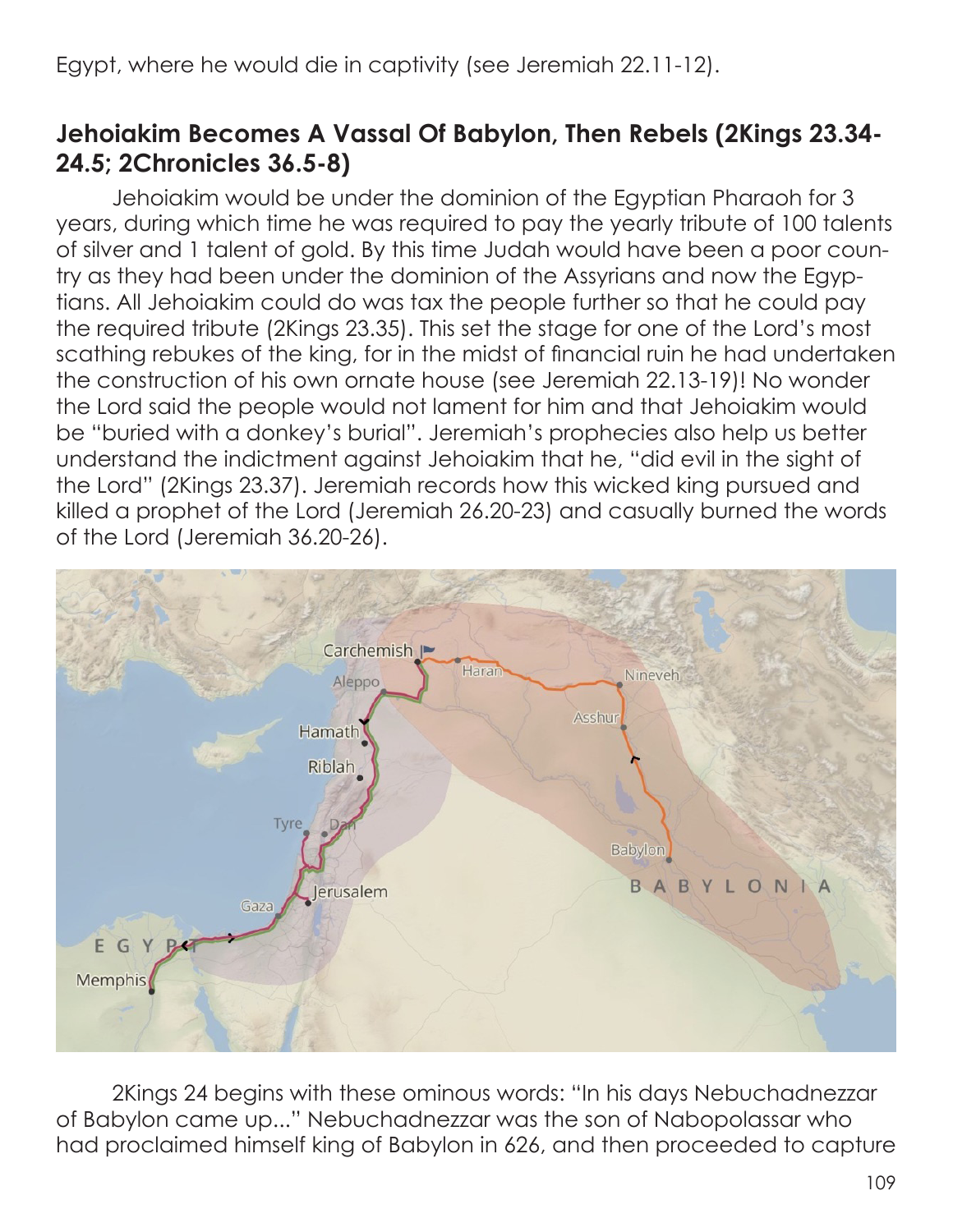## **Jehoiakim Becomes A Vassal Of Babylon, Then Rebels (2Kings 23.34- 24.5; 2Chronicles 36.5-8)**

Jehoiakim would be under the dominion of the Egyptian Pharaoh for 3 years, during which time he was required to pay the yearly tribute of 100 talents of silver and 1 talent of gold. By this time Judah would have been a poor country as they had been under the dominion of the Assyrians and now the Egyptians. All Jehoiakim could do was tax the people further so that he could pay the required tribute (2Kings 23.35). This set the stage for one of the Lord's most scathing rebukes of the king, for in the midst of financial ruin he had undertaken the construction of his own ornate house (see Jeremiah 22.13-19)! No wonder the Lord said the people would not lament for him and that Jehoiakim would be "buried with a donkey's burial". Jeremiah's prophecies also help us better understand the indictment against Jehoiakim that he, "did evil in the sight of the Lord" (2Kings 23.37). Jeremiah records how this wicked king pursued and killed a prophet of the Lord (Jeremiah 26.20-23) and casually burned the words of the Lord (Jeremiah 36.20-26).



2Kings 24 begins with these ominous words: "In his days Nebuchadnezzar of Babylon came up..." Nebuchadnezzar was the son of Nabopolassar who had proclaimed himself king of Babylon in 626, and then proceeded to capture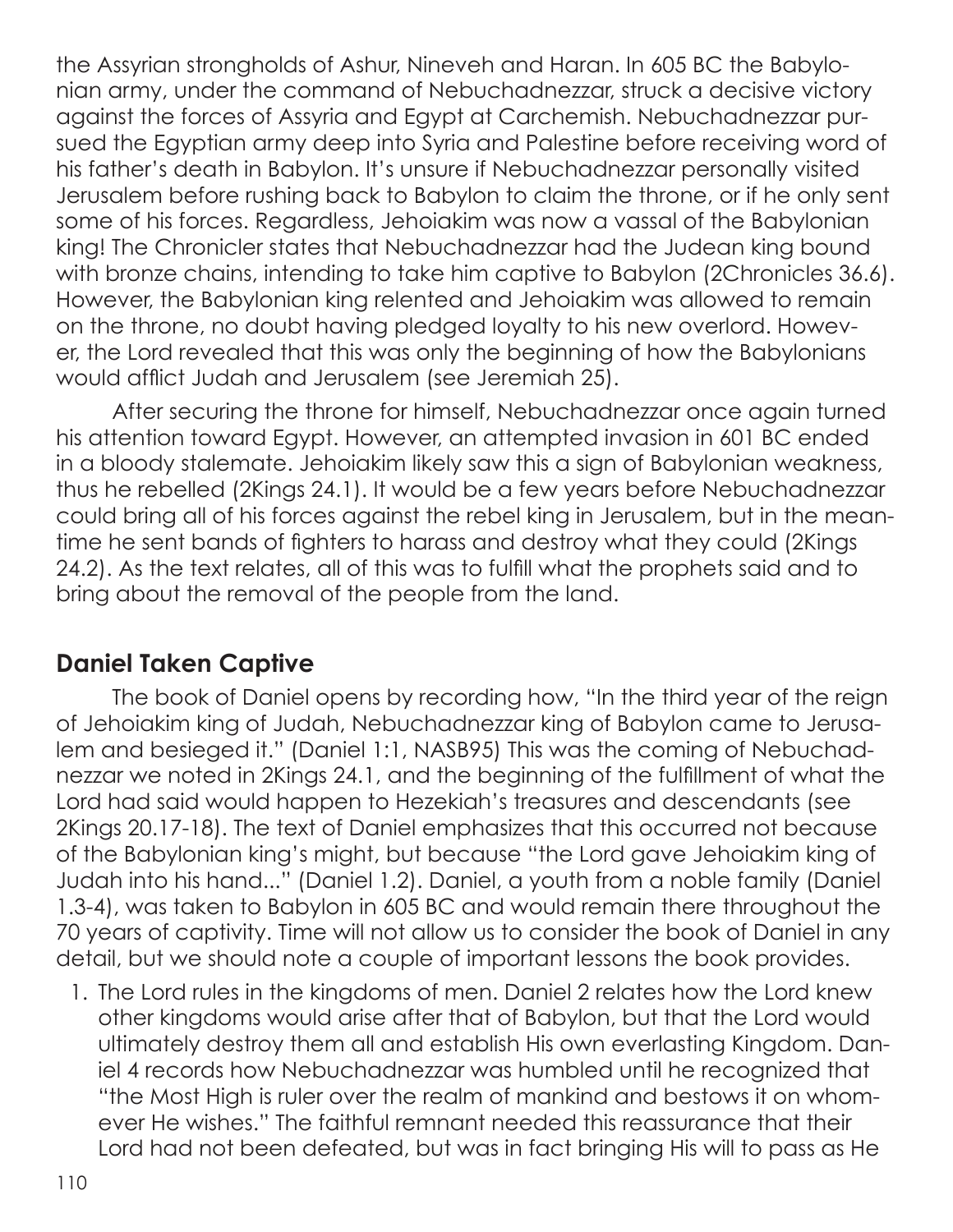the Assyrian strongholds of Ashur, Nineveh and Haran. In 605 BC the Babylonian army, under the command of Nebuchadnezzar, struck a decisive victory against the forces of Assyria and Egypt at Carchemish. Nebuchadnezzar pursued the Egyptian army deep into Syria and Palestine before receiving word of his father's death in Babylon. It's unsure if Nebuchadnezzar personally visited Jerusalem before rushing back to Babylon to claim the throne, or if he only sent some of his forces. Regardless, Jehoiakim was now a vassal of the Babylonian king! The Chronicler states that Nebuchadnezzar had the Judean king bound with bronze chains, intending to take him captive to Babylon (2Chronicles 36.6). However, the Babylonian king relented and Jehoiakim was allowed to remain on the throne, no doubt having pledged loyalty to his new overlord. However, the Lord revealed that this was only the beginning of how the Babylonians would afflict Judah and Jerusalem (see Jeremiah 25).

After securing the throne for himself, Nebuchadnezzar once again turned his attention toward Egypt. However, an attempted invasion in 601 BC ended in a bloody stalemate. Jehoiakim likely saw this a sign of Babylonian weakness, thus he rebelled (2Kings 24.1). It would be a few years before Nebuchadnezzar could bring all of his forces against the rebel king in Jerusalem, but in the meantime he sent bands of fighters to harass and destroy what they could (2Kings 24.2). As the text relates, all of this was to fulfill what the prophets said and to bring about the removal of the people from the land.

## **Daniel Taken Captive**

The book of Daniel opens by recording how, "In the third year of the reign of Jehoiakim king of Judah, Nebuchadnezzar king of Babylon came to Jerusalem and besieged it." (Daniel 1:1, NASB95) This was the coming of Nebuchadnezzar we noted in 2Kings 24.1, and the beginning of the fulfillment of what the Lord had said would happen to Hezekiah's treasures and descendants (see 2Kings 20.17-18). The text of Daniel emphasizes that this occurred not because of the Babylonian king's might, but because "the Lord gave Jehoiakim king of Judah into his hand..." (Daniel 1.2). Daniel, a youth from a noble family (Daniel 1.3-4), was taken to Babylon in 605 BC and would remain there throughout the 70 years of captivity. Time will not allow us to consider the book of Daniel in any detail, but we should note a couple of important lessons the book provides.

1. The Lord rules in the kingdoms of men. Daniel 2 relates how the Lord knew other kingdoms would arise after that of Babylon, but that the Lord would ultimately destroy them all and establish His own everlasting Kingdom. Daniel 4 records how Nebuchadnezzar was humbled until he recognized that "the Most High is ruler over the realm of mankind and bestows it on whomever He wishes." The faithful remnant needed this reassurance that their Lord had not been defeated, but was in fact bringing His will to pass as He